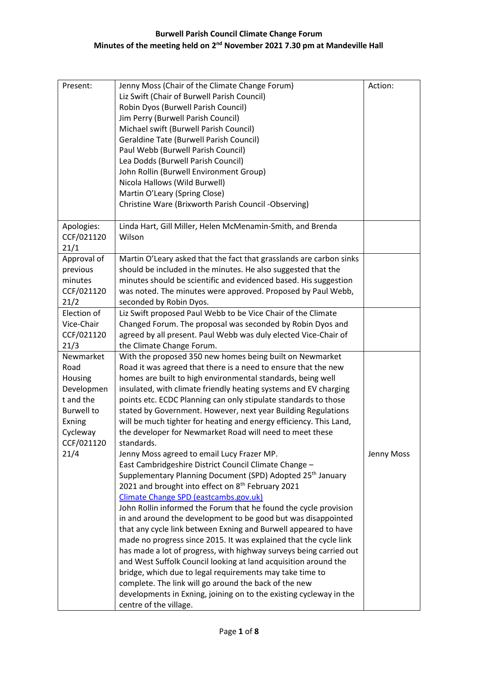| Present:                                                                                                         | Jenny Moss (Chair of the Climate Change Forum)<br>Liz Swift (Chair of Burwell Parish Council)<br>Robin Dyos (Burwell Parish Council)<br>Jim Perry (Burwell Parish Council)<br>Michael swift (Burwell Parish Council)<br><b>Geraldine Tate (Burwell Parish Council)</b><br>Paul Webb (Burwell Parish Council)<br>Lea Dodds (Burwell Parish Council)<br>John Rollin (Burwell Environment Group)<br>Nicola Hallows (Wild Burwell)<br>Martin O'Leary (Spring Close)<br>Christine Ware (Brixworth Parish Council -Observing)                                                                                                                                                                                                                                                                                                                                                                                                            | Action:    |
|------------------------------------------------------------------------------------------------------------------|------------------------------------------------------------------------------------------------------------------------------------------------------------------------------------------------------------------------------------------------------------------------------------------------------------------------------------------------------------------------------------------------------------------------------------------------------------------------------------------------------------------------------------------------------------------------------------------------------------------------------------------------------------------------------------------------------------------------------------------------------------------------------------------------------------------------------------------------------------------------------------------------------------------------------------|------------|
| Apologies:<br>CCF/021120<br>21/1                                                                                 | Linda Hart, Gill Miller, Helen McMenamin-Smith, and Brenda<br>Wilson                                                                                                                                                                                                                                                                                                                                                                                                                                                                                                                                                                                                                                                                                                                                                                                                                                                               |            |
| Approval of<br>previous<br>minutes<br>CCF/021120<br>21/2                                                         | Martin O'Leary asked that the fact that grasslands are carbon sinks<br>should be included in the minutes. He also suggested that the<br>minutes should be scientific and evidenced based. His suggestion<br>was noted. The minutes were approved. Proposed by Paul Webb,<br>seconded by Robin Dyos.                                                                                                                                                                                                                                                                                                                                                                                                                                                                                                                                                                                                                                |            |
| Election of<br>Vice-Chair<br>CCF/021120<br>21/3                                                                  | Liz Swift proposed Paul Webb to be Vice Chair of the Climate<br>Changed Forum. The proposal was seconded by Robin Dyos and<br>agreed by all present. Paul Webb was duly elected Vice-Chair of<br>the Climate Change Forum.                                                                                                                                                                                                                                                                                                                                                                                                                                                                                                                                                                                                                                                                                                         |            |
| Newmarket<br>Road<br>Housing<br>Developmen<br>t and the<br><b>Burwell to</b><br>Exning<br>Cycleway<br>CCF/021120 | With the proposed 350 new homes being built on Newmarket<br>Road it was agreed that there is a need to ensure that the new<br>homes are built to high environmental standards, being well<br>insulated, with climate friendly heating systems and EV charging<br>points etc. ECDC Planning can only stipulate standards to those<br>stated by Government. However, next year Building Regulations<br>will be much tighter for heating and energy efficiency. This Land,<br>the developer for Newmarket Road will need to meet these<br>standards.                                                                                                                                                                                                                                                                                                                                                                                  |            |
| 21/4                                                                                                             | Jenny Moss agreed to email Lucy Frazer MP.<br>East Cambridgeshire District Council Climate Change -<br>Supplementary Planning Document (SPD) Adopted 25 <sup>th</sup> January<br>2021 and brought into effect on 8 <sup>th</sup> February 2021<br>Climate Change SPD (eastcambs.gov.uk)<br>John Rollin informed the Forum that he found the cycle provision<br>in and around the development to be good but was disappointed<br>that any cycle link between Exning and Burwell appeared to have<br>made no progress since 2015. It was explained that the cycle link<br>has made a lot of progress, with highway surveys being carried out<br>and West Suffolk Council looking at land acquisition around the<br>bridge, which due to legal requirements may take time to<br>complete. The link will go around the back of the new<br>developments in Exning, joining on to the existing cycleway in the<br>centre of the village. | Jenny Moss |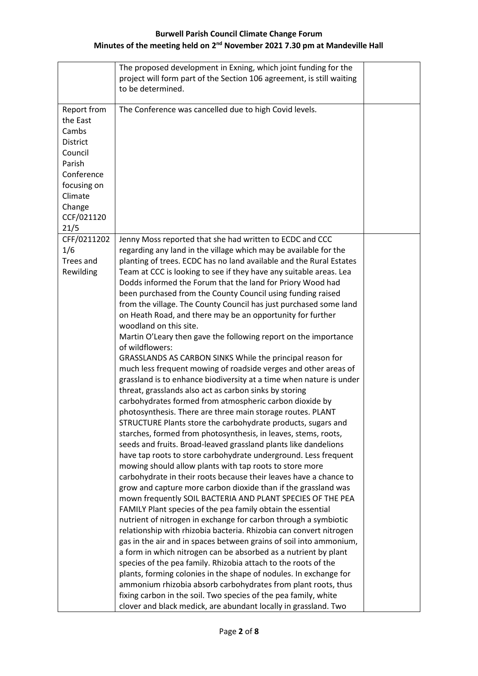|                                                                                                                                                  | The proposed development in Exning, which joint funding for the<br>project will form part of the Section 106 agreement, is still waiting<br>to be determined.                                                                                                                                                                                                                                                                                                                                                                                                                                                                                                                                                                                                                                                                                                                                                                                                                                                                                                                                                                                                                                                                                                                                                                                                                                                                                                                                                                                                                                                                                                                                                                                                                                                                                                             |  |
|--------------------------------------------------------------------------------------------------------------------------------------------------|---------------------------------------------------------------------------------------------------------------------------------------------------------------------------------------------------------------------------------------------------------------------------------------------------------------------------------------------------------------------------------------------------------------------------------------------------------------------------------------------------------------------------------------------------------------------------------------------------------------------------------------------------------------------------------------------------------------------------------------------------------------------------------------------------------------------------------------------------------------------------------------------------------------------------------------------------------------------------------------------------------------------------------------------------------------------------------------------------------------------------------------------------------------------------------------------------------------------------------------------------------------------------------------------------------------------------------------------------------------------------------------------------------------------------------------------------------------------------------------------------------------------------------------------------------------------------------------------------------------------------------------------------------------------------------------------------------------------------------------------------------------------------------------------------------------------------------------------------------------------------|--|
| Report from<br>the East<br>Cambs<br><b>District</b><br>Council<br>Parish<br>Conference<br>focusing on<br>Climate<br>Change<br>CCF/021120<br>21/5 | The Conference was cancelled due to high Covid levels.                                                                                                                                                                                                                                                                                                                                                                                                                                                                                                                                                                                                                                                                                                                                                                                                                                                                                                                                                                                                                                                                                                                                                                                                                                                                                                                                                                                                                                                                                                                                                                                                                                                                                                                                                                                                                    |  |
| CFF/0211202<br>1/6<br>Trees and<br>Rewilding                                                                                                     | Jenny Moss reported that she had written to ECDC and CCC<br>regarding any land in the village which may be available for the<br>planting of trees. ECDC has no land available and the Rural Estates<br>Team at CCC is looking to see if they have any suitable areas. Lea<br>Dodds informed the Forum that the land for Priory Wood had<br>been purchased from the County Council using funding raised<br>from the village. The County Council has just purchased some land<br>on Heath Road, and there may be an opportunity for further<br>woodland on this site.<br>Martin O'Leary then gave the following report on the importance<br>of wildflowers:<br>GRASSLANDS AS CARBON SINKS While the principal reason for<br>much less frequent mowing of roadside verges and other areas of<br>grassland is to enhance biodiversity at a time when nature is under<br>threat, grasslands also act as carbon sinks by storing<br>carbohydrates formed from atmospheric carbon dioxide by<br>photosynthesis. There are three main storage routes. PLANT<br>STRUCTURE Plants store the carbohydrate products, sugars and<br>starches, formed from photosynthesis, in leaves, stems, roots,<br>seeds and fruits. Broad-leaved grassland plants like dandelions<br>have tap roots to store carbohydrate underground. Less frequent<br>mowing should allow plants with tap roots to store more<br>carbohydrate in their roots because their leaves have a chance to<br>grow and capture more carbon dioxide than if the grassland was<br>mown frequently SOIL BACTERIA AND PLANT SPECIES OF THE PEA<br>FAMILY Plant species of the pea family obtain the essential<br>nutrient of nitrogen in exchange for carbon through a symbiotic<br>relationship with rhizobia bacteria. Rhizobia can convert nitrogen<br>gas in the air and in spaces between grains of soil into ammonium, |  |
|                                                                                                                                                  | a form in which nitrogen can be absorbed as a nutrient by plant<br>species of the pea family. Rhizobia attach to the roots of the<br>plants, forming colonies in the shape of nodules. In exchange for<br>ammonium rhizobia absorb carbohydrates from plant roots, thus<br>fixing carbon in the soil. Two species of the pea family, white<br>clover and black medick, are abundant locally in grassland. Two                                                                                                                                                                                                                                                                                                                                                                                                                                                                                                                                                                                                                                                                                                                                                                                                                                                                                                                                                                                                                                                                                                                                                                                                                                                                                                                                                                                                                                                             |  |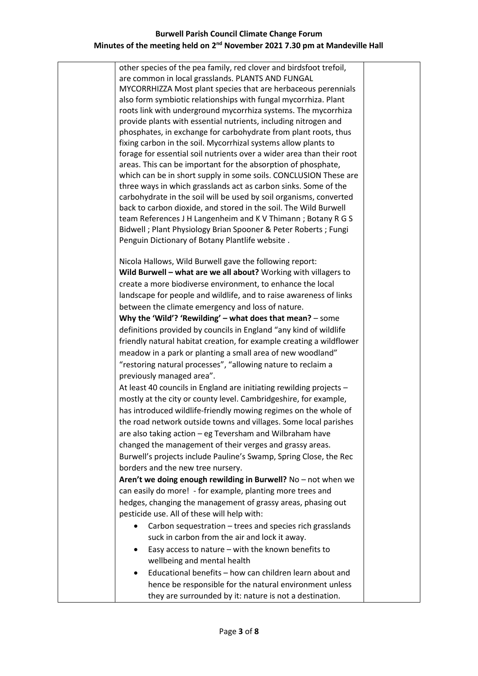other species of the pea family, red clover and birdsfoot trefoil, are common in local grasslands. PLANTS AND FUNGAL MYCORRHIZZA Most plant species that are herbaceous perennials also form symbiotic relationships with fungal mycorrhiza. Plant roots link with underground mycorrhiza systems. The mycorrhiza provide plants with essential nutrients, including nitrogen and phosphates, in exchange for carbohydrate from plant roots, thus fixing carbon in the soil. Mycorrhizal systems allow plants to forage for essential soil nutrients over a wider area than their root areas. This can be important for the absorption of phosphate, which can be in short supply in some soils. CONCLUSION These are three ways in which grasslands act as carbon sinks. Some of the carbohydrate in the soil will be used by soil organisms, converted back to carbon dioxide, and stored in the soil. The Wild Burwell team References J H Langenheim and K V Thimann ; Botany R G S Bidwell ; Plant Physiology Brian Spooner & Peter Roberts ; Fungi Penguin Dictionary of Botany Plantlife website .

Nicola Hallows, Wild Burwell gave the following report: **Wild Burwell – what are we all about?** Working with villagers to create a more biodiverse environment, to enhance the local landscape for people and wildlife, and to raise awareness of links between the climate emergency and loss of nature. **Why the 'Wild'? 'Rewilding' – what does that mean?** – some definitions provided by councils in England "any kind of wildlife friendly natural habitat creation, for example creating a wildflower meadow in a park or planting a small area of new woodland"

"restoring natural processes", "allowing nature to reclaim a previously managed area". At least 40 councils in England are initiating rewilding projects – mostly at the city or county level. Cambridgeshire, for example, has introduced wildlife-friendly mowing regimes on the whole of the road network outside towns and villages. Some local parishes are also taking action – eg Teversham and Wilbraham have changed the management of their verges and grassy areas.

Burwell's projects include Pauline's Swamp, Spring Close, the Rec borders and the new tree nursery.

**Aren't we doing enough rewilding in Burwell?** No – not when we can easily do more! - for example, planting more trees and hedges, changing the management of grassy areas, phasing out pesticide use. All of these will help with:

- Carbon sequestration trees and species rich grasslands suck in carbon from the air and lock it away.
- Easy access to nature with the known benefits to wellbeing and mental health
- Educational benefits how can children learn about and hence be responsible for the natural environment unless they are surrounded by it: nature is not a destination.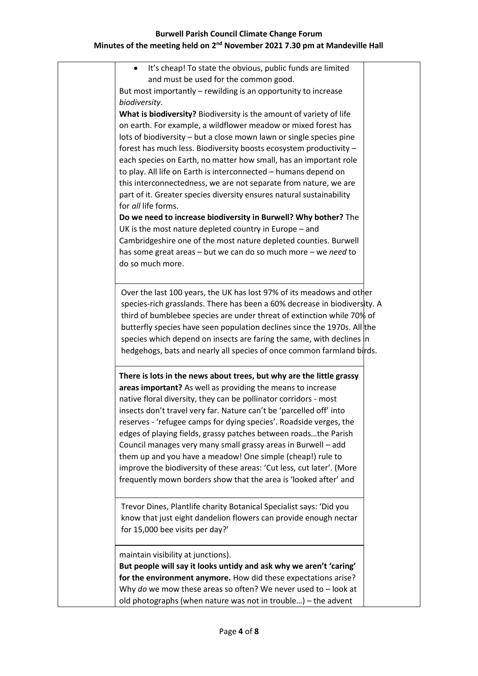| It's cheap! To state the obvious, public funds are limited<br>$\bullet$                                                           |  |
|-----------------------------------------------------------------------------------------------------------------------------------|--|
|                                                                                                                                   |  |
| and must be used for the common good.                                                                                             |  |
| But most importantly - rewilding is an opportunity to increase                                                                    |  |
| biodiversity.                                                                                                                     |  |
| What is biodiversity? Biodiversity is the amount of variety of life                                                               |  |
| on earth. For example, a wildflower meadow or mixed forest has                                                                    |  |
| lots of biodiversity - but a close mown lawn or single species pine                                                               |  |
| forest has much less. Biodiversity boosts ecosystem productivity -                                                                |  |
| each species on Earth, no matter how small, has an important role                                                                 |  |
| to play. All life on Earth is interconnected - humans depend on                                                                   |  |
| this interconnectedness, we are not separate from nature, we are                                                                  |  |
| part of it. Greater species diversity ensures natural sustainability                                                              |  |
| for all life forms.                                                                                                               |  |
| Do we need to increase biodiversity in Burwell? Why bother? The                                                                   |  |
| UK is the most nature depleted country in Europe - and                                                                            |  |
| Cambridgeshire one of the most nature depleted counties. Burwell                                                                  |  |
| has some great areas - but we can do so much more - we need to                                                                    |  |
| do so much more.                                                                                                                  |  |
| Over the last 100 years, the UK has lost 97% of its meadows and other                                                             |  |
|                                                                                                                                   |  |
| species-rich grasslands. There has been a 60% decrease in biodiversity. A                                                         |  |
| third of bumblebee species are under threat of extinction while 70% of                                                            |  |
| butterfly species have seen population declines since the 1970s. All the                                                          |  |
| species which depend on insects are faring the same, with declines in                                                             |  |
| hedgehogs, bats and nearly all species of once common farmland birds.                                                             |  |
| There is lots in the news about trees, but why are the little grassy                                                              |  |
| areas important? As well as providing the means to increase                                                                       |  |
| native floral diversity, they can be pollinator corridors - most                                                                  |  |
| insects don't travel very far. Nature can't be 'parcelled off' into                                                               |  |
|                                                                                                                                   |  |
|                                                                                                                                   |  |
| reserves - 'refugee camps for dying species'. Roadside verges, the                                                                |  |
| edges of playing fields, grassy patches between roadsthe Parish                                                                   |  |
| Council manages very many small grassy areas in Burwell - add                                                                     |  |
| them up and you have a meadow! One simple (cheap!) rule to                                                                        |  |
| improve the biodiversity of these areas: 'Cut less, cut later'. (More                                                             |  |
| frequently mown borders show that the area is 'looked after' and                                                                  |  |
| Trevor Dines, Plantlife charity Botanical Specialist says: 'Did you                                                               |  |
|                                                                                                                                   |  |
| know that just eight dandelion flowers can provide enough nectar<br>for 15,000 bee visits per day?'                               |  |
|                                                                                                                                   |  |
| maintain visibility at junctions).                                                                                                |  |
| But people will say it looks untidy and ask why we aren't 'caring'                                                                |  |
| for the environment anymore. How did these expectations arise?                                                                    |  |
| Why do we mow these areas so often? We never used to $-$ look at<br>old photographs (when nature was not in trouble) – the advent |  |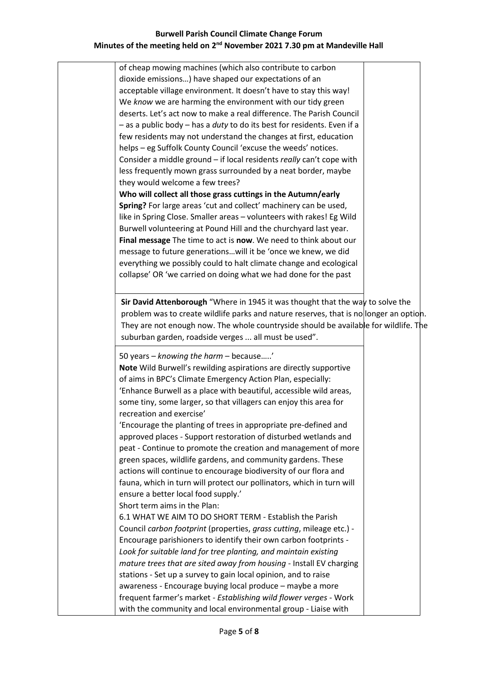of cheap mowing machines (which also contribute to carbon dioxide emissions…) have shaped our expectations of an acceptable village environment. It doesn't have to stay this way! We *know* we are harming the environment with our tidy green deserts. Let's act now to make a real difference. The Parish Council – as a public body – has a *duty* to do its best for residents. Even if a few residents may not understand the changes at first, education helps – eg Suffolk County Council 'excuse the weeds' notices. Consider a middle ground – if local residents *really* can't cope with less frequently mown grass surrounded by a neat border, maybe they would welcome a few trees? **Who will collect all those grass cuttings in the Autumn/early Spring?** For large areas 'cut and collect' machinery can be used, like in Spring Close. Smaller areas – volunteers with rakes! Eg Wild Burwell volunteering at Pound Hill and the churchyard last year. **Final message** The time to act is **now**. We need to think about our message to future generations…will it be 'once we knew, we did everything we possibly could to halt climate change and ecological collapse' OR 'we carried on doing what we had done for the past 50 years – *knowing the harm* – because…..' **Note** Wild Burwell's rewilding aspirations are directly supportive of aims in BPC's Climate Emergency Action Plan, especially: 'Enhance Burwell as a place with beautiful, accessible wild areas, some tiny, some larger, so that villagers can enjoy this area for recreation and exercise' 'Encourage the planting of trees in appropriate pre-defined and approved places - Support restoration of disturbed wetlands and peat - Continue to promote the creation and management of more green spaces, wildlife gardens, and community gardens. These actions will continue to encourage biodiversity of our flora and fauna, which in turn will protect our pollinators, which in turn will ensure a better local food supply.' Short term aims in the Plan: 6.1 WHAT WE AIM TO DO SHORT TERM - Establish the Parish Council *carbon footprint* (properties, *grass cutting*, mileage etc.) - Encourage parishioners to identify their own carbon footprints - *Look for suitable land for tree planting, and maintain existing mature trees that are sited away from housing* - Install EV charging stations - Set up a survey to gain local opinion, and to raise awareness - Encourage buying local produce – maybe a more frequent farmer's market - *Establishing wild flower verges* - Work with the community and local environmental group - Liaise with **Sir David Attenborough** "Where in 1945 it was thought that the way to solve the problem was to create wildlife parks and nature reserves, that is no longer an option. They are not enough now. The whole countryside should be available for wildlife. The suburban garden, roadside verges ... all must be used".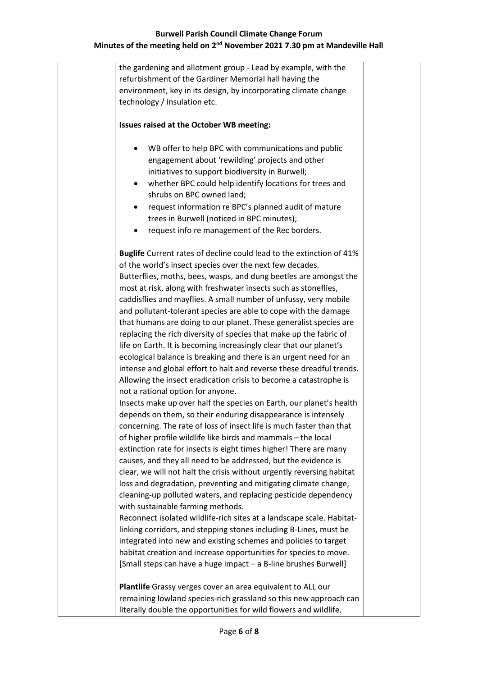the gardening and allotment group - Lead by example, with the refurbishment of the Gardiner Memorial hall having the environment, key in its design, by incorporating climate change technology / insulation etc. **Issues raised at the October WB meeting:** • WB offer to help BPC with communications and public engagement about 'rewilding' projects and other initiatives to support biodiversity in Burwell; • whether BPC could help identify locations for trees and shrubs on BPC owned land; • request information re BPC's planned audit of mature trees in Burwell (noticed in BPC minutes); • request info re management of the Rec borders. **Buglife** Current rates of decline could lead to the extinction of 41% of the world's insect species over the next few decades. Butterflies, moths, bees, wasps, and dung beetles are amongst the most at risk, along with freshwater insects such as stoneflies, caddisflies and mayflies. A small number of unfussy, very mobile and pollutant-tolerant species are able to cope with the damage that humans are doing to our planet. These generalist species are replacing the rich diversity of species that make up the fabric of life on Earth. It is becoming increasingly clear that our planet's ecological balance is breaking and there is an urgent need for an intense and global effort to halt and reverse these dreadful trends. Allowing the insect eradication crisis to become a catastrophe is not a rational option for anyone. Insects make up over half the species on Earth, our planet's health depends on them, so their enduring disappearance is intensely concerning. The rate of loss of insect life is much faster than that of higher profile wildlife like birds and mammals – the local extinction rate for insects is eight times higher! There are many causes, and they all need to be addressed, but the evidence is clear, we will not halt the crisis without urgently reversing habitat loss and degradation, preventing and mitigating climate change, cleaning-up polluted waters, and replacing pesticide dependency with sustainable farming methods. Reconnect isolated wildlife-rich sites at a landscape scale. Habitatlinking corridors, and stepping stones including B-Lines, must be integrated into new and existing schemes and policies to target habitat creation and increase opportunities for species to move. [Small steps can have a huge impact – a B-line brushes Burwell] **Plantlife** Grassy verges cover an area equivalent to ALL our remaining lowland species-rich grassland so this new approach can literally double the opportunities for wild flowers and wildlife.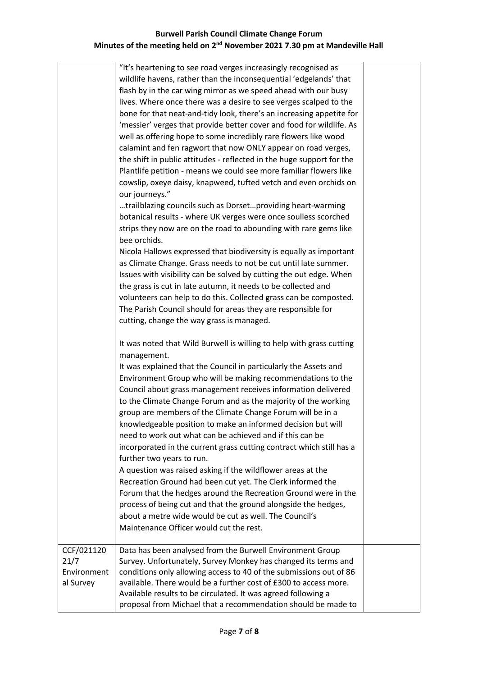| CCF/021120                       | "It's heartening to see road verges increasingly recognised as<br>wildlife havens, rather than the inconsequential 'edgelands' that<br>flash by in the car wing mirror as we speed ahead with our busy<br>lives. Where once there was a desire to see verges scalped to the<br>bone for that neat-and-tidy look, there's an increasing appetite for<br>'messier' verges that provide better cover and food for wildlife. As<br>well as offering hope to some incredibly rare flowers like wood<br>calamint and fen ragwort that now ONLY appear on road verges,<br>the shift in public attitudes - reflected in the huge support for the<br>Plantlife petition - means we could see more familiar flowers like<br>cowslip, oxeye daisy, knapweed, tufted vetch and even orchids on<br>our journeys."<br>trailblazing councils such as Dorsetproviding heart-warming<br>botanical results - where UK verges were once soulless scorched<br>strips they now are on the road to abounding with rare gems like<br>bee orchids.<br>Nicola Hallows expressed that biodiversity is equally as important<br>as Climate Change. Grass needs to not be cut until late summer.<br>Issues with visibility can be solved by cutting the out edge. When<br>the grass is cut in late autumn, it needs to be collected and<br>volunteers can help to do this. Collected grass can be composted.<br>The Parish Council should for areas they are responsible for<br>cutting, change the way grass is managed.<br>It was noted that Wild Burwell is willing to help with grass cutting<br>management.<br>It was explained that the Council in particularly the Assets and<br>Environment Group who will be making recommendations to the<br>Council about grass management receives information delivered<br>to the Climate Change Forum and as the majority of the working<br>group are members of the Climate Change Forum will be in a<br>knowledgeable position to make an informed decision but will<br>need to work out what can be achieved and if this can be<br>incorporated in the current grass cutting contract which still has a<br>further two years to run.<br>A question was raised asking if the wildflower areas at the<br>Recreation Ground had been cut yet. The Clerk informed the<br>Forum that the hedges around the Recreation Ground were in the<br>process of being cut and that the ground alongside the hedges,<br>about a metre wide would be cut as well. The Council's<br>Maintenance Officer would cut the rest.<br>Data has been analysed from the Burwell Environment Group |  |
|----------------------------------|---------------------------------------------------------------------------------------------------------------------------------------------------------------------------------------------------------------------------------------------------------------------------------------------------------------------------------------------------------------------------------------------------------------------------------------------------------------------------------------------------------------------------------------------------------------------------------------------------------------------------------------------------------------------------------------------------------------------------------------------------------------------------------------------------------------------------------------------------------------------------------------------------------------------------------------------------------------------------------------------------------------------------------------------------------------------------------------------------------------------------------------------------------------------------------------------------------------------------------------------------------------------------------------------------------------------------------------------------------------------------------------------------------------------------------------------------------------------------------------------------------------------------------------------------------------------------------------------------------------------------------------------------------------------------------------------------------------------------------------------------------------------------------------------------------------------------------------------------------------------------------------------------------------------------------------------------------------------------------------------------------------------------------------------------------------------------------------------------------------------------------------------------------------------------------------------------------------------------------------------------------------------------------------------------------------------------------------------------------------------------------------------------------------------------------------------------------------------------------------------------------------------------------------------------------------------------------------------|--|
| 21/7<br>Environment<br>al Survey | Survey. Unfortunately, Survey Monkey has changed its terms and<br>conditions only allowing access to 40 of the submissions out of 86<br>available. There would be a further cost of £300 to access more.<br>Available results to be circulated. It was agreed following a<br>proposal from Michael that a recommendation should be made to                                                                                                                                                                                                                                                                                                                                                                                                                                                                                                                                                                                                                                                                                                                                                                                                                                                                                                                                                                                                                                                                                                                                                                                                                                                                                                                                                                                                                                                                                                                                                                                                                                                                                                                                                                                                                                                                                                                                                                                                                                                                                                                                                                                                                                                  |  |